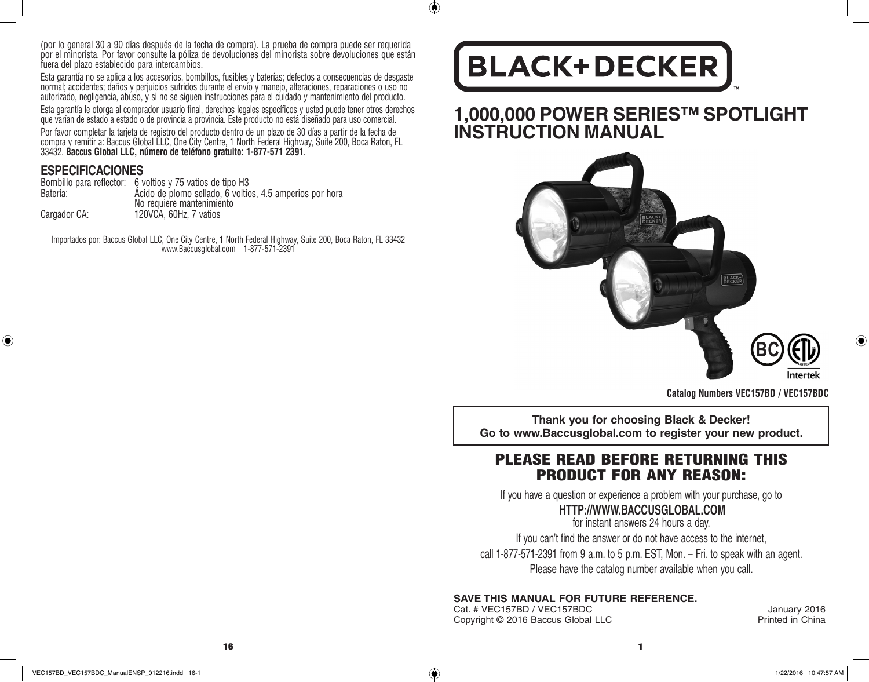(por lo general 30 a 90 días después de la fecha de compra). La prueba de compra puede ser requerida por el minorista. Por favor consulte la póliza de devoluciones del minorista sobre devoluciones que están fuera del plazo establecido para intercambios.

Esta garantía no se aplica a los accesorios, bombillos, fusibles y baterías; defectos a consecuencias de desgaste normal; accidentes; daños y perjuicios sufridos durante el envío y manejo, alteraciones, reparaciones o uso no autorizado, negligencia, abuso, y si no se siguen instrucciones para el cuidado y mantenimiento del producto.

Esta garantía le otorga al comprador usuario final, derechos legales específicos y usted puede tener otros derechos que varían de estado a estado o de provincia a provincia. Este producto no está diseñado para uso comercial.

Por favor completar la tarjeta de registro del producto dentro de un plazo de 30 días a partir de la fecha de compra y remitir a: Baccus Global LLC, One City Centre, 1 North Federal Highway, Suite 200, Boca Raton, FL 33432. **Baccus Global LLC, número de teléfono gratuito: 1-877-571 2391**.

# **ESPECIFICACIONES**

⊕

|              | Bombillo para reflector: 6 voltios y 75 vatios de tipo H3 |
|--------------|-----------------------------------------------------------|
| Batería:     | Acido de plomo sellado, 6 voltios, 4.5 amperios por hora  |
|              | No requiere mantenimiento                                 |
| Cargador CA: | 120VCA, 60Hz, 7 vatios                                    |

Importados por: Baccus Global LLC, One City Centre, 1 North Federal Highway, Suite 200, Boca Raton, FL 33432 www.Baccusglobal.com 1-877-571-2391

# **BLACK+DECKER**

 $\bigcirc$ 

**1,000,000 POWER SERIES™ SPOTLIGHT INSTRUCTION MANUAL** 



**Catalog Numbers VEC157BD / VEC157BDC**

**Thank you for choosing Black & Decker! Go to www.Baccusglobal.com to register your new product.**

# PLEASE READ BEFORE RETURNING THIS PRODUCT FOR ANY REASON:

If you have a question or experience a problem with your purchase, go to

# **HTTP://WWW.BACCUSGLOBAL.COM**

for instant answers 24 hours a day. If you can't find the answer or do not have access to the internet, call 1-877-571-2391 from 9 a.m. to 5 p.m. EST, Mon. – Fri. to speak with an agent. Please have the catalog number available when you call.

# **SAVE THIS MANUAL FOR FUTURE REFERENCE.**

Cat. # VEC157BD / VEC157BDC<br>Copyright © 2016 Baccus Global LLC <br>Printed in China Copyright © 2016 Baccus Global LLC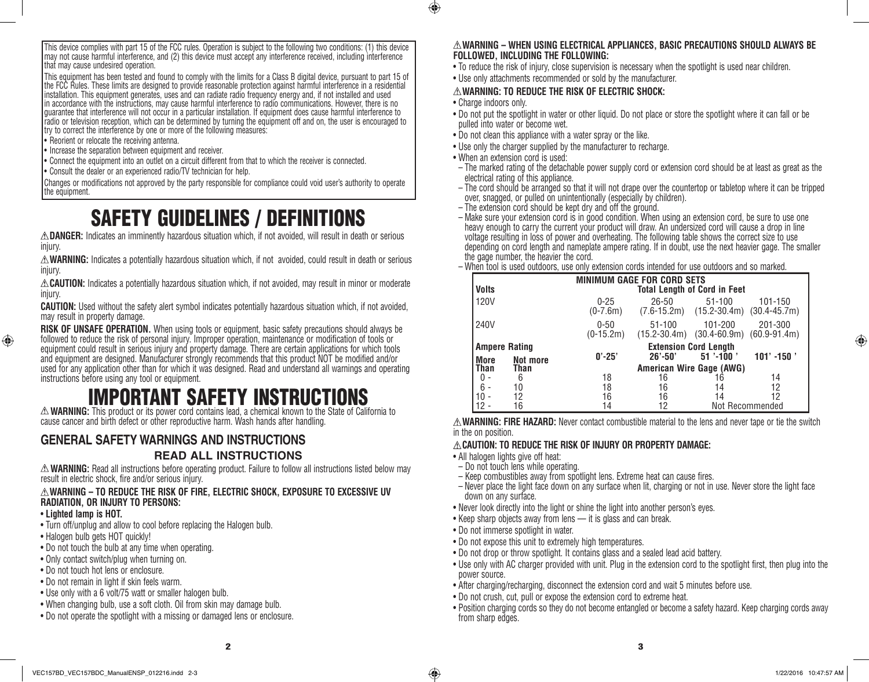This device complies with part 15 of the FCC rules. Operation is subject to the following two conditions: (1) this device may not cause harmful interference, and (2) this device must accept any interference received, including interference that may cause undesired operation.

This equipment has been tested and found to comply with the limits for a Class B digital device, pursuant to part 15 of the FCC Rules. These limits are designed to provide reasonable protection against harmful interference in a residential installation. This equipment generates, uses and can radiate radio frequency energy and, if not installed and used in accordance with the instructions, may cause harmful interference to radio communications. However, there is no guarantee that interference will not occur in a particular installation. If equipment does cause harmful interference to radio or television reception, which can be determined by turning the equipment off and on, the user is encouraged to try to correct the interference by one or more of the following measures:

- Reorient or relocate the receiving antenna.
- **Increase the separation between equipment and receiver.**
- • Connect the equipment into an outlet on a circuit different from that to which the receiver is connected.
- Consult the dealer or an experienced radio/TV technician for help.

Changes or modifications not approved by the party responsible for compliance could void user's authority to operate the equipment.

# SAFETY GUIDELINES / DEFINITIONS

**DANGER:** Indicates an imminently hazardous situation which, if not avoided, will result in death or serious injury.

**WARNING:** Indicates a potentially hazardous situation which, if not avoided, could result in death or serious injury.

**CAUTION:** Indicates a potentially hazardous situation which, if not avoided, may result in minor or moderate injury.

**CAUTION:** Used without the safety alert symbol indicates potentially hazardous situation which, if not avoided, may result in property damage.

**RISK OF UNSAFE OPERATION.** When using tools or equipment, basic safety precautions should always be followed to reduce the risk of personal injury. Improper operation, maintenance or modification of tools or equipment could result in serious injury and property damage. There are certain applications for which tools and equipment are designed. Manufacturer strongly recommends that this product NOT be modified and/or used for any application other than for which it was designed. Read and understand all warnings and operating instructions before using any tool or equipment.

# IMPORTANT SAFETY INSTRUCTIONS

**WARNING:** This product or its power cord contains lead, a chemical known to the State of California to cause cancer and birth defect or other reproductive harm. Wash hands after handling.

# **GENERAL SAFETY WARNINGS AND INSTRUCTIONS READ ALL INSTRUCTIONS**

**WARNING:** Read all instructions before operating product. Failure to follow all instructions listed below may result in electric shock, fire and/or serious injury.

### **WARNING – TO REDUCE THE RISK OF FIRE, ELECTRIC SHOCK, EXPOSURE TO EXCESSIVE UV RADIATION, OR INJURY TO PERSONS:**

• **Lighted lamp is HOT.**

⊕

- Turn off/unplug and allow to cool before replacing the Halogen bulb.
- Halogen bulb gets HOT quickly!
- Do not touch the bulb at any time when operating.
- Only contact switch/plug when turning on.
- Do not touch hot lens or enclosure.
- Do not remain in light if skin feels warm.
- Use only with a 6 volt/75 watt or smaller halogen bulb.
- When changing bulb, use a soft cloth. Oil from skin may damage bulb.
- Do not operate the spotlight with a missing or damaged lens or enclosure.

### **WARNING – WHEN USING ELECTRICAL APPLIANCES, BASIC PRECAUTIONS SHOULD ALWAYS BE FOLLOWED, INCLUDING THE FOLLOWING:**

- To reduce the risk of injury, close supervision is necessary when the spotlight is used near children.
- Use only attachments recommended or sold by the manufacturer.

### **WARNING: TO REDUCE THE RISK OF ELECTRIC SHOCK:**

• Charge indoors only.

 $\bigcirc$ 

- Do not put the spotlight in water or other liquid. Do not place or store the spotlight where it can fall or be pulled into water or become wet.
- Do not clean this appliance with a water spray or the like.
- Use only the charger supplied by the manufacturer to recharge.
- When an extension cord is used:
- The marked rating of the detachable power supply cord or extension cord should be at least as great as the electrical rating of this appliance.
- The cord should be arranged so that it will not drape over the countertop or tabletop where it can be tripped over, snagged, or pulled on unintentionally (especially by children).
- The extension cord should be kept dry and off the ground.
- Make sure your extension cord is in good condition. When using an extension cord, be sure to use one heavy enough to carry the current your product will draw. An undersized cord will cause a drop in line voltage resulting in loss of power and overheating. The following table shows the correct size to use depending on cord length and nameplate ampere rating. If in doubt, use the next heavier gage. The smaller the gage number, the heavier the cord.
- When tool is used outdoors, use only extension cords intended for use outdoors and so marked.

| Volts                |          | <b>MINIMUM GAGE FOR CORD SETS</b><br><b>Total Length of Cord in Feet</b> |                                |                                                 |                             |  |
|----------------------|----------|--------------------------------------------------------------------------|--------------------------------|-------------------------------------------------|-----------------------------|--|
| 120V                 |          | $0 - 25$<br>$(0-7.6m)$                                                   | $26 - 50$<br>$(7.6 - 15.2m)$   | $51 - 100$<br>$(15.2 - 30.4m)$ $(30.4 - 45.7m)$ | 101-150                     |  |
| 240V                 |          | $0 - 50$<br>$(0-15.2m)$                                                  | $51 - 100$<br>$(15.2 - 30.4m)$ | 101-200<br>$(30.4 - 60.9m)$                     | 201-300<br>$(60.9 - 91.4m)$ |  |
| <b>Ampere Rating</b> |          |                                                                          | <b>Extension Cord Length</b>   |                                                 |                             |  |
| More                 | Not more | $0' - 25'$                                                               | $26' - 50'$                    | $51 - 100$                                      | $101' - 150'$               |  |
| Than<br>Than         |          | American Wire Gage (AWG)                                                 |                                |                                                 |                             |  |
| 0                    | 6        | 18                                                                       | 16                             | 16                                              | 14                          |  |
| 6                    | 10       | 18                                                                       | 16                             | 14                                              | 12                          |  |
|                      | 12       | 16                                                                       | 16                             | 14                                              | 12                          |  |
|                      | 16       | 14                                                                       | 12                             |                                                 | Not Recommended             |  |

**WARNING: FIRE HAZARD:** Never contact combustible material to the lens and never tape or tie the switch in the on position.

### **CAUTION: TO REDUCE THE RISK OF INJURY OR PROPERTY DAMAGE:**

- All halogen lights give off heat:
- Do not touch lens while operating.
- Keep combustibles away from spotlight lens. Extreme heat can cause fires.
- Never place the light face down on any surface when lit, charging or not in use. Never store the light face down on any surface.
- Never look directly into the light or shine the light into another person's eves.
- Keep sharp objects away from lens it is glass and can break.
- Do not immerse spotlight in water.
- Do not expose this unit to extremely high temperatures.
- Do not drop or throw spotlight. It contains glass and a sealed lead acid battery.
- • Use only with AC charger provided with unit. Plug in the extension cord to the spotlight first, then plug into the power source.
- After charging/recharging, disconnect the extension cord and wait 5 minutes before use.
- Do not crush, cut, pull or expose the extension cord to extreme heat.
- • Position charging cords so they do not become entangled or become a safety hazard. Keep charging cords away from sharp edges.

♠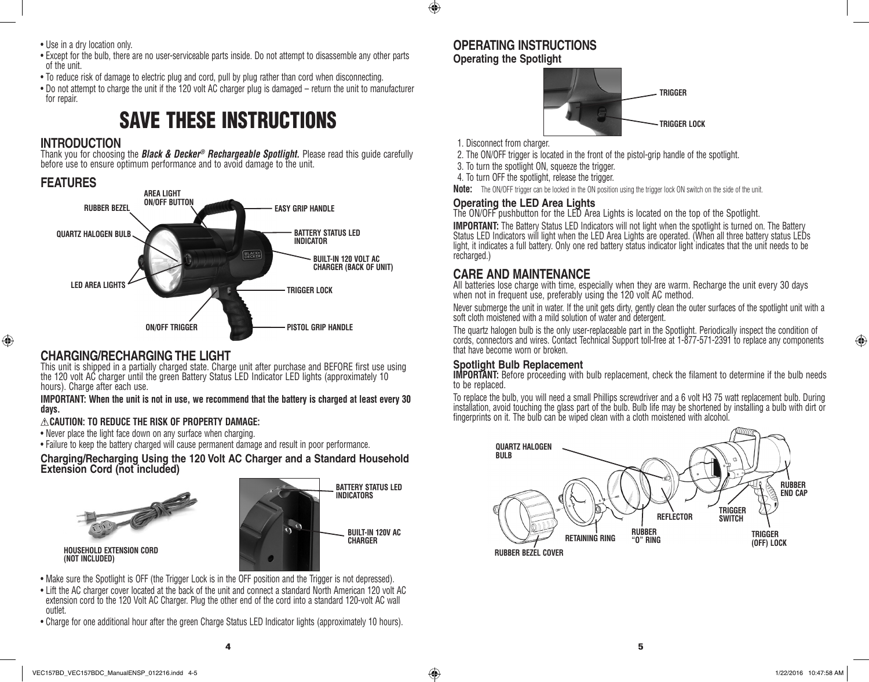$\bigoplus$ 

- Use in a dry location only.
- • Except for the bulb, there are no user-serviceable parts inside. Do not attempt to disassemble any other parts of the unit.
- To reduce risk of damage to electric plug and cord, pull by plug rather than cord when disconnecting.
- Do not attempt to charge the unit if the 120 volt AC charger plug is damaged return the unit to manufacturer for repair.

# SAVE THESE INSTRUCTIONS

# **INTRODUCTION**

Thank you for choosing the *Black & Decker® Rechargeable Spotlight.* Please read this guide carefully before use to ensure optimum performance and to avoid damage to the unit.

# **FEATURES**



# **CHARGING/RECHARGING THE LIGHT**

This unit is shipped in a partially charged state. Charge unit after purchase and BEFORE first use using the 120 volt AC charger until the green Battery Status LED Indicator LED lights (approximately 10 hours). Charge after each use.

### **IMPORTANT: When the unit is not in use, we recommend that the battery is charged at least every 30 days.**

## **CAUTION: TO REDUCE THE RISK OF PROPERTY DAMAGE:**

- Never place the light face down on any surface when charging.
- Failure to keep the battery charged will cause permanent damage and result in poor performance.

### **Charging/Recharging Using the 120 Volt AC Charger and a Standard Household Extension Cord (not included)**





- Make sure the Spotlight is OFF (the Trigger Lock is in the OFF position and the Trigger is not depressed).
- Lift the AC charger cover located at the back of the unit and connect a standard North American 120 volt AC extension cord to the 120 Volt AC Charger. Plug the other end of the cord into a standard 120-volt AC wall outlet.
- Charge for one additional hour after the green Charge Status LED Indicator lights (approximately 10 hours).

# **OPERATING INSTRUCTIONS Operating the Spotlight**



1. Disconnect from charger.

2. The ON/OFF trigger is located in the front of the pistol-grip handle of the spotlight.

3. To turn the spotlight ON, squeeze the trigger.

4. To turn OFF the spotlight, release the trigger.

**Note:** The ON/OFF trigger can be locked in the ON position using the trigger lock ON switch on the side of the unit.

## **Operating the LED Area Lights**

The ON/OFF pushbutton for the LED Area Lights is located on the top of the Spotlight.

**IMPORTANT:** The Battery Status LED Indicators will not light when the spotlight is turned on. The Battery Status LED Indicators will light when the LED Area Lights are operated. (When all three battery status LEDs light, it indicates a full battery. Only one red battery status indicator light indicates that the unit needs to be recharged.)

# **CARE AND MAINTENANCE**

All batteries lose charge with time, especially when they are warm. Recharge the unit every 30 days when not in frequent use, preferably using the 120 volt AC method.

Never submerge the unit in water. If the unit gets dirty, gently clean the outer surfaces of the spotlight unit with a soft cloth moistened with a mild solution of water and detergent.

The quartz halogen bulb is the only user-replaceable part in the Spotlight. Periodically inspect the condition of cords, connectors and wires. Contact Technical Support toll-free at 1-877-571-2391 to replace any components that have become worn or broken.

# **Spotlight Bulb Replacement**

**IMPORTANT:** Before proceeding with bulb replacement, check the filament to determine if the bulb needs to be replaced.

To replace the bulb, you will need a small Phillips screwdriver and a 6 volt H3 75 watt replacement bulb. During installation, avoid touching the glass part of the bulb. Bulb life may be shortened by installing a bulb with dirt or fingerprints on it. The bulb can be wiped clean with a cloth moistened with alcohol.



**(NOT INCLUDED)**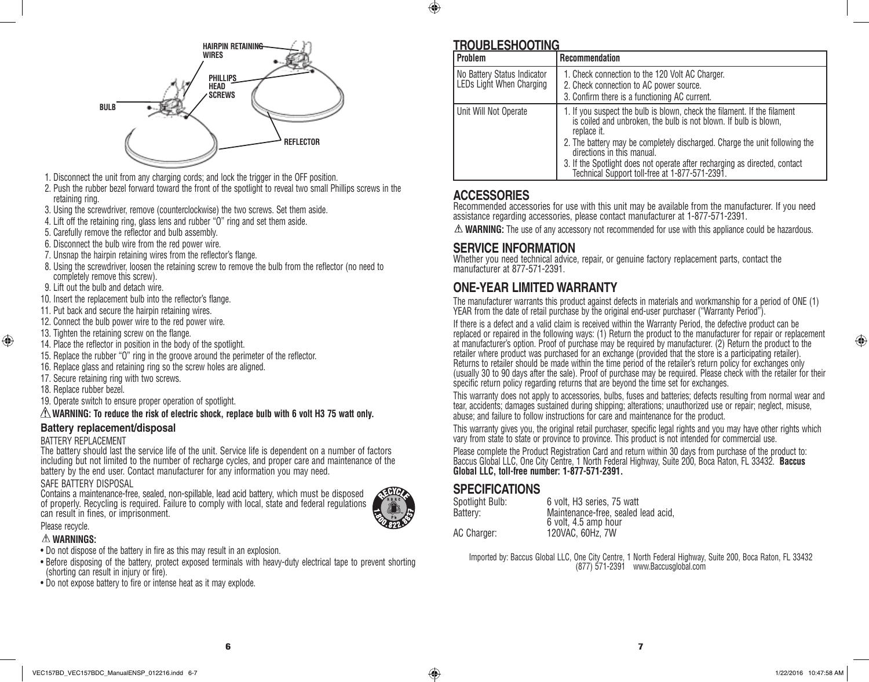



- 1. Disconnect the unit from any charging cords; and lock the trigger in the OFF position.
- 2. Push the rubber bezel forward toward the front of the spotlight to reveal two small Phillips screws in the retaining ring.
- 3. Using the screwdriver, remove (counterclockwise) the two screws. Set them aside.
- 4. Lift off the retaining ring, glass lens and rubber "O" ring and set them aside.
- 5. Carefully remove the reflector and bulb assembly.
- 6. Disconnect the bulb wire from the red power wire.
- 7. Unsnap the hairpin retaining wires from the reflector's flange.
- 8. Using the screwdriver, loosen the retaining screw to remove the bulb from the reflector (no need to completely remove this screw).
- 9. Lift out the bulb and detach wire.
- 10. Insert the replacement bulb into the reflector's flange.
- 11. Put back and secure the hairpin retaining wires.
- 12. Connect the bulb power wire to the red power wire.
- 13. Tighten the retaining screw on the flange.
- 14. Place the reflector in position in the body of the spotlight.
- 15. Replace the rubber "O" ring in the groove around the perimeter of the reflector.
- 16. Replace glass and retaining ring so the screw holes are aligned.
- 17. Secure retaining ring with two screws.
- 18. Replace rubber bezel.

⊕

19. Operate switch to ensure proper operation of spotlight.

### **WARNING: To reduce the risk of electric shock, replace bulb with 6 volt H3 75 watt only.**

### **Battery replacement/disposal**

#### BATTERY REPLACEMENT

The battery should last the service life of the unit. Service life is dependent on a number of factors including but not limited to the number of recharge cycles, and proper care and maintenance of the battery by the end user. Contact manufacturer for any information you may need.

### SAFE BATTERY DISPOSAL

Contains a maintenance-free, sealed, non-spillable, lead acid battery, which must be disposed of properly. Recycling is required. Failure to comply with local, state and federal regulations can result in fines, or imprisonment.



#### Please recycle. **WARNINGS:**

- Do not dispose of the battery in fire as this may result in an explosion.
- Before disposing of the battery, protect exposed terminals with heavy-duty electrical tape to prevent shorting (shorting can result in injury or fire).
- Do not expose battery to fire or intense heat as it may explode.

# **TROUBLESHOOTING**

| <b>Problem</b>                                          | <b>Recommendation</b>                                                                                                                                                                                                                                                                                                                                                                                   |
|---------------------------------------------------------|---------------------------------------------------------------------------------------------------------------------------------------------------------------------------------------------------------------------------------------------------------------------------------------------------------------------------------------------------------------------------------------------------------|
| No Battery Status Indicator<br>LEDs Light When Charging | 1. Check connection to the 120 Volt AC Charger.<br>2. Check connection to AC power source.<br>3. Confirm there is a functioning AC current.                                                                                                                                                                                                                                                             |
| Unit Will Not Operate                                   | 1. If you suspect the bulb is blown, check the filament. If the filament<br>is coiled and unbroken, the bulb is not blown. If bulb is blown,<br>replace it.<br>2. The battery may be completely discharged. Charge the unit following the<br>directions in this manual.<br>3. If the Spotlight does not operate after recharging as directed, contact<br>Technical Support toll-free at 1-877-571-2391. |

# **ACCESSORIES**

Recommended accessories for use with this unit may be available from the manufacturer. If you need assistance regarding accessories, please contact manufacturer at 1-877-571-2391.

 $\triangle$  **WARNING:** The use of any accessory not recommended for use with this appliance could be hazardous.

## **SERVICE INFORMATION**

Whether you need technical advice, repair, or genuine factory replacement parts, contact the manufacturer at 877-571-2391.

# **ONE-YEAR LIMITED WARRANTY**

The manufacturer warrants this product against defects in materials and workmanship for a period of ONE (1) YEAR from the date of retail purchase by the original end-user purchaser ("Warranty Period").

If there is a defect and a valid claim is received within the Warranty Period, the defective product can be replaced or repaired in the following ways: (1) Return the product to the manufacturer for repair or replacement at manufacturer's option. Proof of purchase may be required by manufacturer. (2) Return the product to the retailer where product was purchased for an exchange (provided that the store is a participating retailer). Returns to retailer should be made within the time period of the retailer's return policy for exchanges only (usually 30 to 90 days after the sale). Proof of purchase may be required. Please check with the retailer for their specific return policy regarding returns that are beyond the time set for exchanges.

This warranty does not apply to accessories, bulbs, fuses and batteries; defects resulting from normal wear and tear, accidents; damages sustained during shipping; alterations; unauthorized use or repair; neglect, misuse, abuse; and failure to follow instructions for care and maintenance for the product.

This warranty gives you, the original retail purchaser, specific legal rights and you may have other rights which vary from state to state or province to province. This product is not intended for commercial use.

Please complete the Product Registration Card and return within 30 days from purchase of the product to: Baccus Global LLC, One City Centre, 1 North Federal Highway, Suite 200, Boca Raton, FL 33432. **Baccus Global LLC, toll-free number: 1-877-571-2391.** 

# **SPECIFICATIONS**

| Spotlight Bulb: | 6 volt, H <sub>3</sub> series, 75 watt |
|-----------------|----------------------------------------|
| Battery:        | Maintenance-free, sealed lead acid,    |
|                 | 6 volt, 4.5 amp hour                   |
| AC Charger:     | 120VAC, 60Hz, 7W                       |

Imported by: Baccus Global LLC, One City Centre, 1 North Federal Highway, Suite 200, Boca Raton, FL 33432 (877) 571-2391 www.Baccusglobal.com

 $\overline{\phantom{a}}$  6  $\overline{\phantom{a}}$  7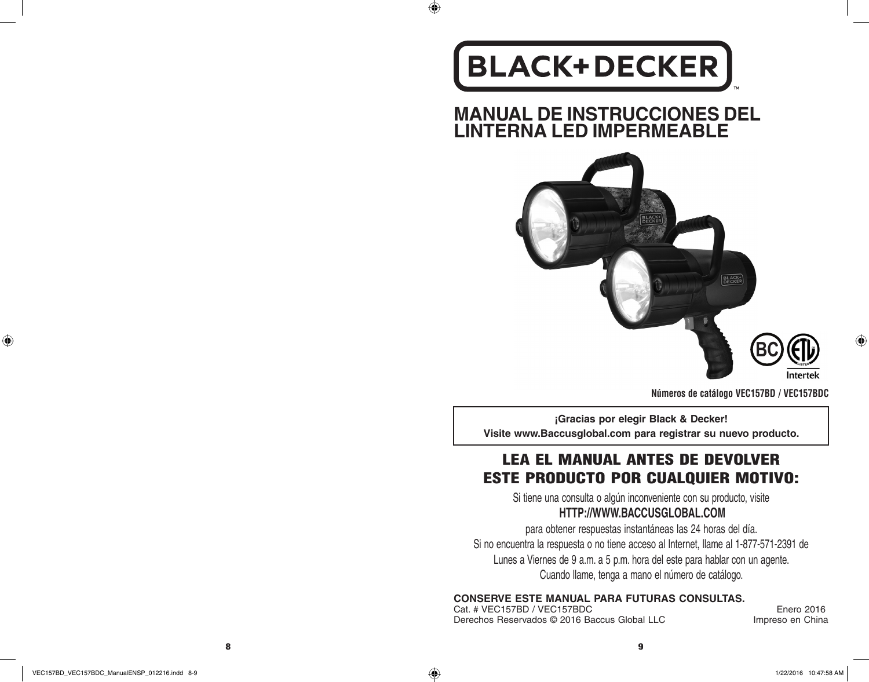# **BLACK+DECKER**

 $\bigoplus$ 

**MANUAL DE INSTRUCCIONES DEL LINTERNA LED IMPERMEABLE**



**Números de catálogo VEC157BD / VEC157BDC**

**¡Gracias por elegir Black & Decker! Visite www.Baccusglobal.com para registrar su nuevo producto.**

# LEA EL MANUAL ANTES DE DEVOLVER ESTE PRODUCTO POR CUALQUIER MOTIVO:

Si tiene una consulta o algún inconveniente con su producto, visite **HTTP://WWW.BACCUSGLOBAL.COM**

para obtener respuestas instantáneas las 24 horas del día. Si no encuentra la respuesta o no tiene acceso al Internet, llame al 1-877-571-2391 de Lunes a Viernes de 9 a.m. a 5 p.m. hora del este para hablar con un agente. Cuando llame, tenga a mano el número de catálogo.

**CONSERVE ESTE MANUAL PARA FUTURAS CONSULTAS.**

Cat. # VEC157BD / VEC157BDC<br>Derechos Reservados © 2016 Baccus Global LLC Moreso en China Derechos Reservados © 2016 Baccus Global LLC

Interte

⊕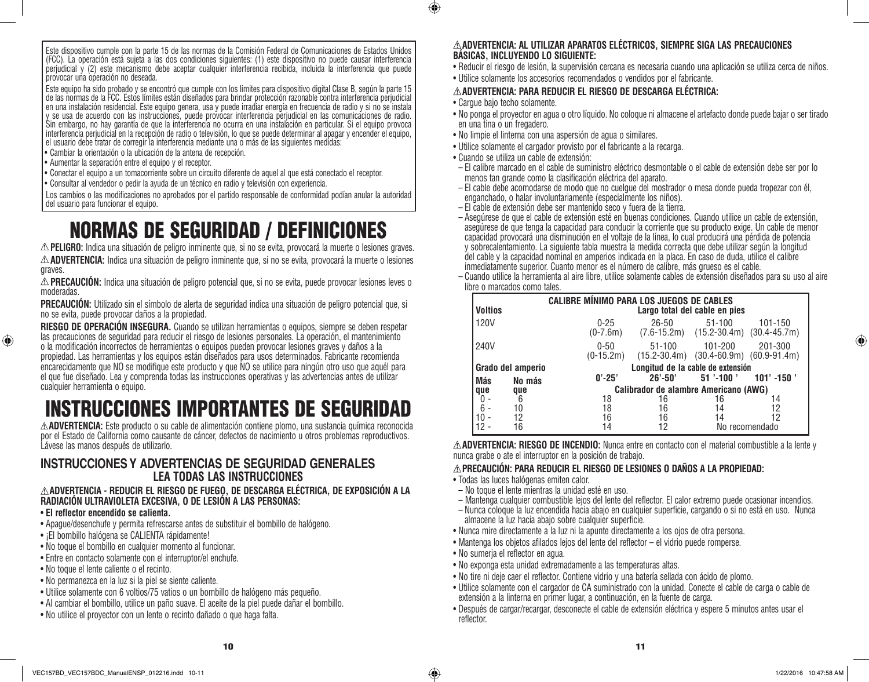Este dispositivo cumple con la parte 15 de las normas de la Comisión Federal de Comunicaciones de Estados Unidos (FCC). La operación está sujeta a las dos condiciones siguientes: (1) este dispositivo no puede causar interferencia perjudicial y (2) este mecanismo debe aceptar cualquier interferencia recibida, incluida la interferencia que puede provocar una operación no deseada.

Este equipo ha sido probado y se encontró que cumple con los límites para dispositivo digital Clase B, según la parte 15 de las normas de la FCC. Estos límites están diseñados para brindar protección razonable contra interferencia perjudicial en una instalación residencial. Este equipo genera, usa y puede irradiar energía en frecuencia de radio y si no se instala y se usa de acuerdo con las instrucciones, puede provocar interferencia perjudicial en las comunicaciones de radio. Sin embargo, no hay garantía de que la interferencia no ocurra en una instalación en particular. Si el equipo provoca interferencia perjudicial en la recepción de radio o televisión, lo que se puede determinar al apagar y encender el equipo, el usuario debe tratar de corregir la interferencia mediante una o más de las siguientes medidas:

- • Cambiar la orientación o la ubicación de la antena de recepción.
- • Aumentar la separación entre el equipo y el receptor.
- • Conectar el equipo a un tomacorriente sobre un circuito diferente de aquel al que está conectado el receptor.
- • Consultar al vendedor o pedir la ayuda de un técnico en radio y televisión con experiencia.

Los cambios o las modificaciones no aprobados por el partido responsable de conformidad podían anular la autoridad del usuario para funcionar el equipo.

# NORMAS DE SEGURIDAD / DEFINICIONES

**PELIGRO:** Indica una situación de peligro inminente que, si no se evita, provocará la muerte o lesiones graves. **ADVERTENCIA:** Indica una situación de peligro inminente que, si no se evita, provocará la muerte o lesiones graves.

**PRECAUCIÓN:** Indica una situación de peligro potencial que, si no se evita, puede provocar lesiones leves o moderadas.

**PRECAUCIÓN:** Utilizado sin el símbolo de alerta de seguridad indica una situación de peligro potencial que, si no se evita, puede provocar daños a la propiedad.

**RIESGO DE OPERACIÓN INSEGURA.** Cuando se utilizan herramientas o equipos, siempre se deben respetar las precauciones de seguridad para reducir el riesgo de lesiones personales. La operación, el mantenimiento o la modificación incorrectos de herramientas o equipos pueden provocar lesiones graves y daños a la propiedad. Las herramientas y los equipos están diseñados para usos determinados. Fabricante recomienda encarecidamente que NO se modifique este producto y que NO se utilice para ningún otro uso que aquél para el que fue diseñado. Lea y comprenda todas las instrucciones operativas y las advertencias antes de utilizar cualquier herramienta o equipo.

# INSTRUCCIONES IMPORTANTES DE SEGURIDAD

**ADVERTENCIA:** Este producto o su cable de alimentación contiene plomo, una sustancia química reconocida por el Estado de California como causante de cáncer, defectos de nacimiento u otros problemas reproductivos. Lávese las manos después de utilizarlo.

## **INSTRUCCIONES Y ADVERTENCIAS DE SEGURIDAD GENERALES LEA TODAS LAS INSTRUCCIONES**

### **ADVERTENCIA - REDUCIR EL RIESGO DE FUEGO, DE DESCARGA ELÉCTRICA, DE EXPOSICIÓN A LA RADIACIÓN ULTRAVIOLETA EXCESIVA, O DE LESIÓN A LAS PERSONAS:**

### • **El reflector encendido se calienta.**

⊕

- • Apague/desenchufe y permita refrescarse antes de substituir el bombillo de halógeno.
- ¡El bombillo halógena se CALIENTA rápidamente!
- • No toque el bombillo en cualquier momento al funcionar.
- • Entre en contacto solamente con el interruptor/el enchufe.
- • No toque el lente caliente o el recinto.
- • No permanezca en la luz si la piel se siente caliente.
- • Utilice solamente con 6 voltios/75 vatios o un bombillo de halógeno más pequeño.
- • Al cambiar el bombillo, utilice un paño suave. El aceite de la piel puede dañar el bombillo.
- • No utilice el proyector con un lente o recinto dañado o que haga falta.

### **ADVERTENCIA: AL UTILIZAR APARATOS ELÉCTRICOS, SIEMPRE SIGA LAS PRECAUCIONES BÁSICAS, INCLUYENDO LO SIGUIENTE:**

- • Reducir el riesgo de lesión, la supervisión cercana es necesaria cuando una aplicación se utiliza cerca de niños.
- • Utilice solamente los accesorios recomendados o vendidos por el fabricante.

### **ADVERTENCIA: PARA REDUCIR EL RIESGO DE DESCARGA ELÉCTRICA:**

• Carque bajo techo solamente.

 $\bigcirc$ 

- • No ponga el proyector en agua o otro líquido. No coloque ni almacene el artefacto donde puede bajar o ser tirado en una tina o un fregadero.
- • No limpie el linterna con una aspersión de agua o similares.
- • Utilice solamente el cargador provisto por el fabricante a la recarga.
- • Cuando se utiliza un cable de extensión:
- El calibre marcado en el cable de suministro eléctrico desmontable o el cable de extensión debe ser por lo menos tan grande como la clasificación eléctrica del aparato.
- El cable debe acomodarse de modo que no cuelgue del mostrador o mesa donde pueda tropezar con él, enganchado, o halar involuntariamente (especialmente los niños).
- El cable de extensión debe ser mantenido seco y fuera de la tierra.
- Asegúrese de que el cable de extensión esté en buenas condiciones. Cuando utilice un cable de extensión, asegúrese de que tenga la capacidad para conducir la corriente que su producto exige. Un cable de menor capacidad provocará una disminución en el voltaje de la línea, lo cual producirá una pérdida de potencia y sobrecalentamiento. La siguiente tabla muestra la medida correcta que debe utilizar según la longitud del cable y la capacidad nominal en amperios indicada en la placa. En caso de duda, utilice el calibre inmediatamente superior. Cuanto menor es el número de calibre, más grueso es el cable.
- Cuando utilice la herramienta al aire libre, utilice solamente cables de extensión diseñados para su uso al aire libre o marcados como tales.

| <b>Voltios</b> | <b>CALIBRE MÍNIMO PARA LOS JUEGOS DE CABLES</b><br>Largo total del cable en pies |                        |                                       |                                                           |                 |  |
|----------------|----------------------------------------------------------------------------------|------------------------|---------------------------------------|-----------------------------------------------------------|-----------------|--|
| 120V           |                                                                                  | $0 - 25$<br>$(0-7.6m)$ | $26 - 50$                             | $51 - 100$<br>$(7.6-15.2m)$ $(15.2-30.4m)$ $(30.4-45.7m)$ | 101-150         |  |
| 240V           |                                                                                  | $0 - 50$<br>(0-15.2m)  | $51 - 100$<br>$(15.2 - 30.4m)$        | 101-200<br>$(30.4 - 60.9m)$ $(60.9 - 91.4m)$              | 201-300         |  |
|                | Grado del amperio                                                                |                        | Longitud de la cable de extensión     |                                                           |                 |  |
| Más            | No más                                                                           | $0' - 25'$             | $26' - 50'$                           | $51 - 100$                                                | $101'$ -150 $'$ |  |
| que            | que                                                                              |                        | Calibrador de alambre Americano (AWG) |                                                           |                 |  |
|                | 6                                                                                | 18                     | 16                                    | 16                                                        | 14              |  |
|                | 10                                                                               | 18                     | 16                                    | 14                                                        | 12              |  |
|                | 12                                                                               | 16                     | 16                                    | 14                                                        | 12              |  |
|                | 16                                                                               | 14                     | 12                                    |                                                           | No recomendado  |  |

**ADVERTENCIA: RIESGO DE INCENDIO:** Nunca entre en contacto con el material combustible a la lente y nunca grabe o ate el interruptor en la posición de trabajo.

### **PRECAUCIÓN: PARA REDUCIR EL RIESGO DE LESIONES O DAÑOS A LA PROPIEDAD:**

- Todas las luces halógenas emiten calor.
- No toque el lente mientras la unidad esté en uso.
- Mantenga cualquier combustible lejos del lente del reflector. El calor extremo puede ocasionar incendios.
- Nunca coloque la luz encendida hacia abajo en cualquier superficie, cargando o si no está en uso. Nunca almacene la luz hacia abajo sobre cualquier superficie.
- • Nunca mire directamente a la luz ni la apunte directamente a los ojos de otra persona.
- • Mantenga los objetos afilados lejos del lente del reflector el vidrio puede romperse.
- • No sumerja el reflector en agua.
- • No exponga esta unidad extremadamente a las temperaturas altas.
- • No tire ni deje caer el reflector. Contiene vidrio y una batería sellada con ácido de plomo.
- • Utilice solamente con el cargador de CA suministrado con la unidad. Conecte el cable de carga o cable de extensión a la linterna en primer lugar, a continuación, en la fuente de carga.
- • Después de cargar/recargar, desconecte el cable de extensión eléctrica y espere 5 minutos antes usar el reflector.

♠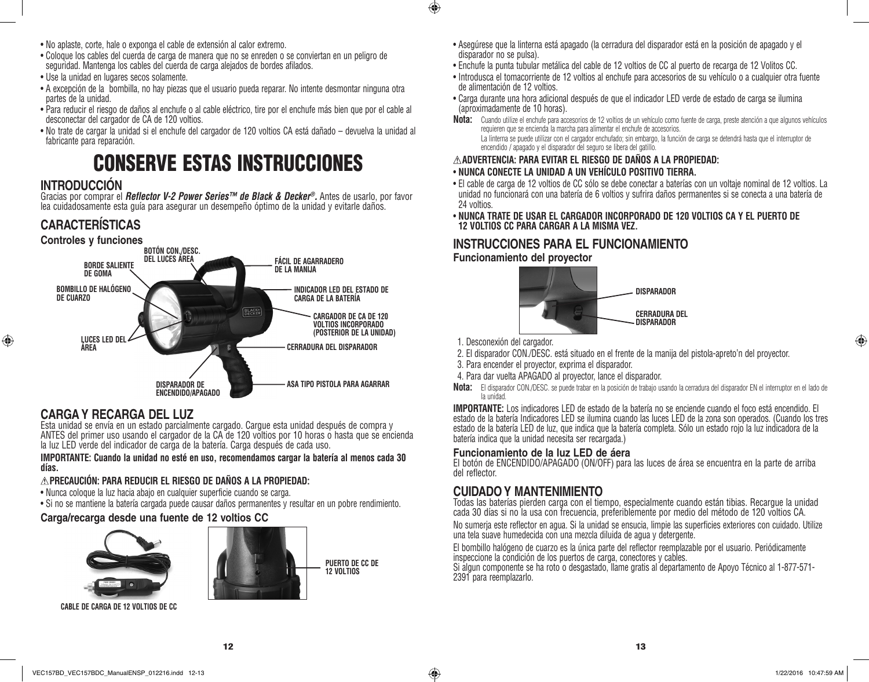- • No aplaste, corte, hale o exponga el cable de extensión al calor extremo.
- • Coloque los cables del cuerda de carga de manera que no se enreden o se conviertan en un peligro de seguridad. Mantenga los cables del cuerda de carga alejados de bordes afilados.
- • Use la unidad en lugares secos solamente.
- • A excepción de la bombilla, no hay piezas que el usuario pueda reparar. No intente desmontar ninguna otra partes de la unidad.
- • Para reducir el riesgo de daños al enchufe o al cable eléctrico, tire por el enchufe más bien que por el cable al desconectar del cargador de CA de 120 voltios.
- • No trate de cargar la unidad si el enchufe del cargador de 120 voltios CA está dañado devuelva la unidad al fabricante para reparación.

# CONSERVE ESTAS INSTRUCCIONES

# **INTRODUCCIÓN**

⊕

Gracias por comprar el *Reflector V-2 Power Series™ de Black & Decker®.* Antes de usarlo, por favor lea cuidadosamente esta guía para asegurar un desempeño óptimo de la unidad y evitarle daños.

# **CARACTERÍSTICAS**



# **CARGA Y RECARGA DEL LUZ**

Esta unidad se envía en un estado parcialmente cargado. Cargue esta unidad después de compra y ANTES del primer uso usando el cargador de la CA de 120 voltios por 10 horas o hasta que se encienda la luz LED verde del indicador de carga de la batería. Carga después de cada uso.

**IMPORTANTE: Cuando la unidad no esté en uso, recomendamos cargar la batería al menos cada 30 días.**

# **PRECAUCIÓN: PARA REDUCIR EL RIESGO DE DAÑOS A LA PROPIEDAD:**

- • Nunca coloque la luz hacia abajo en cualquier superficie cuando se carga.
- • Si no se mantiene la batería cargada puede causar daños permanentes y resultar en un pobre rendimiento.

# **Carga/recarga desde una fuente de 12 voltios CC**



**CABLE DE CARGA DE 12 VOLTIOS DE CC**



• Asegúrese que la linterna está apagado (la cerradura del disparador está en la posición de apagado y el disparador no se pulsa).

- • Enchufe la punta tubular metálica del cable de 12 voltios de CC al puerto de recarga de 12 Volitos CC.
- • Introdusca el tomacorriente de 12 voltios al enchufe para accesorios de su vehículo o a cualquier otra fuente de alimentación de 12 voltios.
- • Carga durante una hora adicional después de que el indicador LED verde de estado de carga se ilumina (aproximadamente de 10 horas).
- **Nota:** Cuando utilize el enchufe para accesorios de 12 voltios de un vehículo como fuente de carga, preste atención a que algunos vehículos requieren que se encienda la marcha para alimentar el enchufe de accesorios. La linterna se puede utilizar con el cargador enchufado; sin embargo, la función de carga se detendrá hasta que el interruptor de encendido / apagado y el disparador del seguro se libera del gatillo.

### **ADVERTENCIA: PARA EVITAR EL RIESGO DE DAÑOS A LA PROPIEDAD:** • **NUNCA CONECTE LA UNIDAD A UN VEHÍCULO POSITIVO TIERRA.**

- • El cable de carga de 12 voltios de CC sólo se debe conectar a baterías con un voltaje nominal de 12 voltios. La unidad no funcionará con una batería de 6 voltios y sufrira daños permanentes si se conecta a una batería de 24 voltios.
- • **NUNCA TRATE DE USAR EL CARGADOR INCORPORADO DE 120 VOLTIOS CA Y EL PUERTO DE 12 VOLTIOS CC PARA CARGAR A LA MISMA VEZ.**

# **INSTRUCCIONES PARA EL FUNCIONAMIENTO Funcionamiento del proyector**



1. Desconexión del cargador.

 $\bigoplus$ 

⊕

- 2. El disparador CON./DESC. está situado en el frente de la manija del pistola-apreto'n del proyector.
- 3. Para encender el proyector, exprima el disparador.
- 4. Para dar vuelta APAGADO al proyector, lance el disparador.
- **Nota:** El disparador CON./DESC. se puede trabar en la posición de trabajo usando la cerradura del disparador EN el interruptor en el lado de la unidad.

**IMPORTANTE:** Los indicadores LED de estado de la batería no se enciende cuando el foco está encendido. El estado de la batería Indicadores LED se ilumina cuando las luces LED de la zona son operados. (Cuando los tres estado de la batería LED de luz, que indica que la batería completa. Sólo un estado rojo la luz indicadora de la batería indica que la unidad necesita ser recargada.)

## **Funcionamiento de la luz LED de áera**

El botón de ENCENDIDO/APAGADO (ON/OFF) para las luces de área se encuentra en la parte de arriba del reflector.

# **CUIDADO Y MANTENIMIENTO**

Todas las baterías pierden carga con el tiempo, especialmente cuando están tibias. Recargue la unidad cada 30 días si no la usa con frecuencia, preferiblemente por medio del método de 120 voltios CA.

No sumeria este reflector en agua. Si la unidad se ensucia, limpie las superficies exteriores con cuidado. Utilize una tela suave humedecida con una mezcla diluida de agua y detergente.

El bombillo halógeno de cuarzo es la única parte del reflector reemplazable por el usuario. Periódicamente inspeccione la condición de los puertos de carga, conectores y cables.

Si algun componente se ha roto o desgastado, llame gratis al departamento de Apoyo Técnico al 1-877-571- 2391 para reemplazarlo.